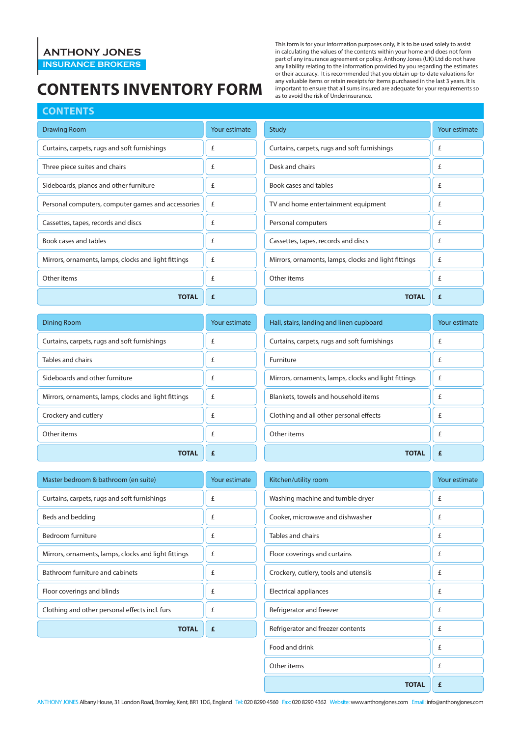### **ANTHONY JONES**

**INSURANCE BROKERS**

## **Contents Inventory FORM**

#### **Contents**

| <b>Drawing Room</b>                                  | Your estimate |
|------------------------------------------------------|---------------|
| Curtains, carpets, rugs and soft furnishings         | £             |
| Three piece suites and chairs                        | £             |
| Sideboards, pianos and other furniture               | £             |
| Personal computers, computer games and accessories   | f             |
| Cassettes, tapes, records and discs                  | £             |
| Book cases and tables                                | £             |
| Mirrors, ornaments, lamps, clocks and light fittings | f             |
| Other items                                          | £             |
| TOTAL                                                | £             |

| <b>Dining Room</b>                                   | Your estimate |
|------------------------------------------------------|---------------|
| Curtains, carpets, rugs and soft furnishings         | £             |
| Tables and chairs                                    | £             |
| Sideboards and other furniture                       | £             |
| Mirrors, ornaments, lamps, clocks and light fittings | £             |
| Crockery and cutlery                                 | £             |
| Other items                                          | £             |
| TOTAL                                                |               |

| Master bedroom & bathroom (en suite)                 | Your estimate |
|------------------------------------------------------|---------------|
| Curtains, carpets, rugs and soft furnishings         | £             |
| Beds and bedding                                     | £             |
| Bedroom furniture                                    | £             |
| Mirrors, ornaments, lamps, clocks and light fittings | £             |
| Bathroom furniture and cabinets                      | £             |
| Floor coverings and blinds                           | £             |
| Clothing and other personal effects incl. furs       | £             |
| <b>TOTAL</b>                                         | £             |

This form is for your information purposes only, it is to be used solely to assist in calculating the values of the contents within your home and does not form part of any insurance agreement or policy. Anthony Jones (UK) Ltd do not have any liability relating to the information provided by you regarding the estimates or their accuracy. It is recommended that you obtain up-to-date valuations for any valuable items or retain receipts for items purchased in the last 3 years. It is important to ensure that all sums insured are adequate for your requirements so as to avoid the risk of Underinsurance.

| Study                                                | Your estimate |
|------------------------------------------------------|---------------|
| Curtains, carpets, rugs and soft furnishings         | f             |
| Desk and chairs                                      | £             |
| Book cases and tables                                | £             |
| TV and home entertainment equipment                  | £             |
| Personal computers                                   | £             |
| Cassettes, tapes, records and discs                  | £             |
| Mirrors, ornaments, lamps, clocks and light fittings | £             |
| Other items                                          | £             |
| <b>TOTAL</b>                                         | £             |

| Hall, stairs, landing and linen cupboard             | Your estimate |
|------------------------------------------------------|---------------|
| Curtains, carpets, rugs and soft furnishings         | £             |
| Furniture                                            | £             |
| Mirrors, ornaments, lamps, clocks and light fittings | £             |
| Blankets, towels and household items                 | £             |
| Clothing and all other personal effects              | £             |
| Other items                                          | £             |
| TOTAL                                                |               |

| Kitchen/utility room                  | Your estimate |
|---------------------------------------|---------------|
| Washing machine and tumble dryer      | £             |
| Cooker, microwave and dishwasher      | £             |
| Tables and chairs                     | £             |
| Floor coverings and curtains          | f             |
| Crockery, cutlery, tools and utensils | £             |
| Electrical appliances                 | £             |
| Refrigerator and freezer              | £             |
| Refrigerator and freezer contents     | £             |
| Food and drink                        | £             |
| Other items                           | £             |
| <b>TOTAL</b>                          | £             |

ANTHONY JONES Albany House, 31 London Road, Bromley, Kent, BR1 1DG, England Tel: 020 8290 4560 Fax: 020 8290 4362 Website: www.anthonyjones.com Email: info@anthonyjones.com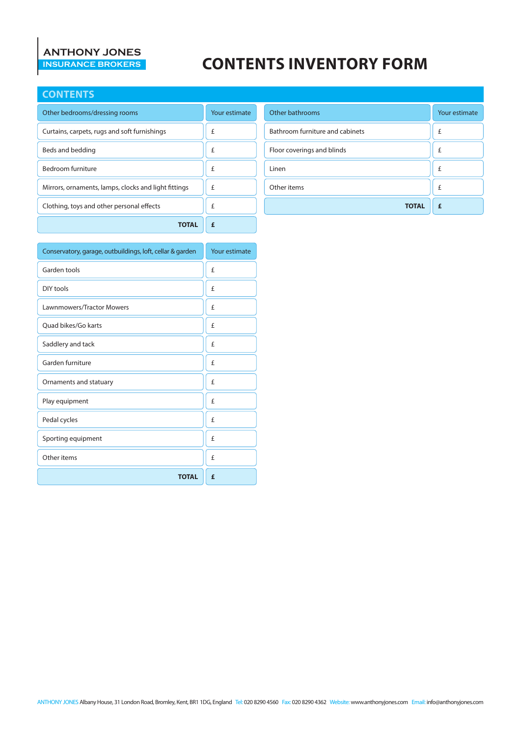# **ANTHONY JONES**

## **CONTENTS INVENTORY FORM**

#### **Contents**

| Other bedrooms/dressing rooms                        | Your estimate |
|------------------------------------------------------|---------------|
| Curtains, carpets, rugs and soft furnishings         | £             |
| Beds and bedding                                     | £             |
| Bedroom furniture                                    | £             |
| Mirrors, ornaments, lamps, clocks and light fittings | £             |
| Clothing, toys and other personal effects            | £             |
|                                                      |               |

| Conservatory, garage, outbuildings, loft, cellar & garden | Your estimate |
|-----------------------------------------------------------|---------------|
| Garden tools                                              | £             |
| DIY tools                                                 | £             |
| <b>Lawnmowers/Tractor Mowers</b>                          | £             |
| Ouad bikes/Go karts                                       | £             |
| Saddlery and tack                                         | £             |
| Garden furniture                                          | £             |
| Ornaments and statuary                                    | £             |
| Play equipment                                            | £             |
| Pedal cycles                                              | £             |
| Sporting equipment                                        | £             |
| Other items                                               | £             |
| <b>TOTAL</b>                                              | £             |

| Other bathrooms                 | Your estimate |
|---------------------------------|---------------|
| Bathroom furniture and cabinets | £             |
| Floor coverings and blinds      | £             |
| Linen                           | £             |
| Other items                     | £             |
| <b>TOTAL</b>                    | £             |